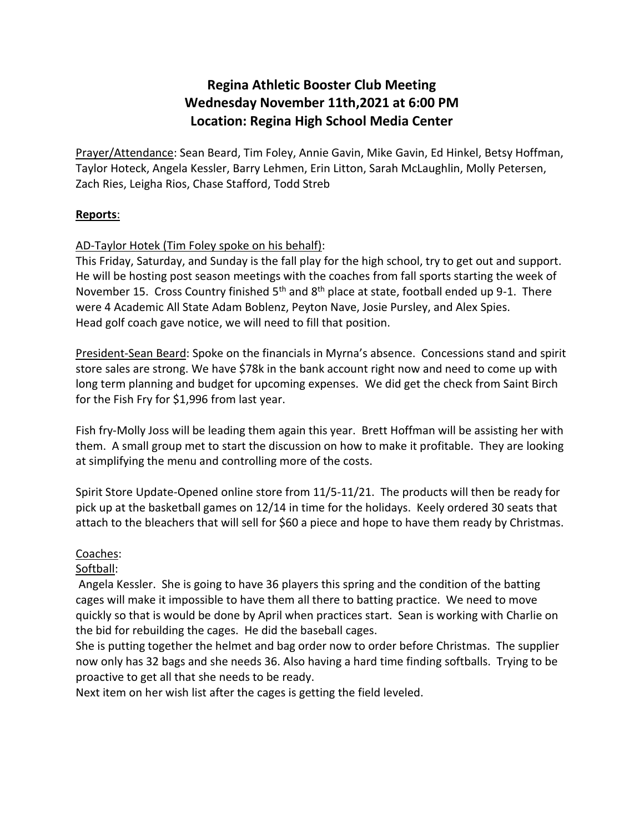# **Regina Athletic Booster Club Meeting Wednesday November 11th,2021 at 6:00 PM Location: Regina High School Media Center**

Prayer/Attendance: Sean Beard, Tim Foley, Annie Gavin, Mike Gavin, Ed Hinkel, Betsy Hoffman, Taylor Hoteck, Angela Kessler, Barry Lehmen, Erin Litton, Sarah McLaughlin, Molly Petersen, Zach Ries, Leigha Rios, Chase Stafford, Todd Streb

#### **Reports**:

### AD-Taylor Hotek (Tim Foley spoke on his behalf):

This Friday, Saturday, and Sunday is the fall play for the high school, try to get out and support. He will be hosting post season meetings with the coaches from fall sports starting the week of November 15. Cross Country finished  $5<sup>th</sup>$  and  $8<sup>th</sup>$  place at state, football ended up 9-1. There were 4 Academic All State Adam Boblenz, Peyton Nave, Josie Pursley, and Alex Spies. Head golf coach gave notice, we will need to fill that position.

President-Sean Beard: Spoke on the financials in Myrna's absence. Concessions stand and spirit store sales are strong. We have \$78k in the bank account right now and need to come up with long term planning and budget for upcoming expenses. We did get the check from Saint Birch for the Fish Fry for \$1,996 from last year.

Fish fry-Molly Joss will be leading them again this year. Brett Hoffman will be assisting her with them. A small group met to start the discussion on how to make it profitable. They are looking at simplifying the menu and controlling more of the costs.

Spirit Store Update-Opened online store from 11/5-11/21. The products will then be ready for pick up at the basketball games on 12/14 in time for the holidays. Keely ordered 30 seats that attach to the bleachers that will sell for \$60 a piece and hope to have them ready by Christmas.

### Coaches:

### Softball:

 Angela Kessler. She is going to have 36 players this spring and the condition of the batting cages will make it impossible to have them all there to batting practice. We need to move quickly so that is would be done by April when practices start. Sean is working with Charlie on the bid for rebuilding the cages. He did the baseball cages.

She is putting together the helmet and bag order now to order before Christmas. The supplier now only has 32 bags and she needs 36. Also having a hard time finding softballs. Trying to be proactive to get all that she needs to be ready.

Next item on her wish list after the cages is getting the field leveled.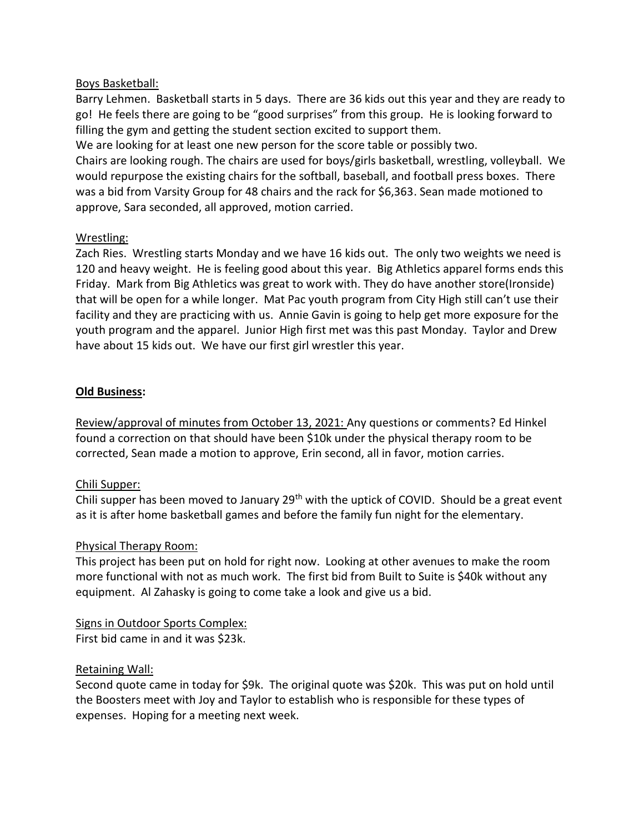#### Boys Basketball:

Barry Lehmen. Basketball starts in 5 days. There are 36 kids out this year and they are ready to go! He feels there are going to be "good surprises" from this group. He is looking forward to filling the gym and getting the student section excited to support them.

We are looking for at least one new person for the score table or possibly two.

Chairs are looking rough. The chairs are used for boys/girls basketball, wrestling, volleyball. We would repurpose the existing chairs for the softball, baseball, and football press boxes. There was a bid from Varsity Group for 48 chairs and the rack for \$6,363. Sean made motioned to approve, Sara seconded, all approved, motion carried.

### Wrestling:

Zach Ries. Wrestling starts Monday and we have 16 kids out. The only two weights we need is 120 and heavy weight. He is feeling good about this year. Big Athletics apparel forms ends this Friday. Mark from Big Athletics was great to work with. They do have another store(Ironside) that will be open for a while longer. Mat Pac youth program from City High still can't use their facility and they are practicing with us. Annie Gavin is going to help get more exposure for the youth program and the apparel. Junior High first met was this past Monday. Taylor and Drew have about 15 kids out. We have our first girl wrestler this year.

#### **Old Business:**

Review/approval of minutes from October 13, 2021: Any questions or comments? Ed Hinkel found a correction on that should have been \$10k under the physical therapy room to be corrected, Sean made a motion to approve, Erin second, all in favor, motion carries.

### Chili Supper:

Chili supper has been moved to January 29<sup>th</sup> with the uptick of COVID. Should be a great event as it is after home basketball games and before the family fun night for the elementary.

### Physical Therapy Room:

This project has been put on hold for right now. Looking at other avenues to make the room more functional with not as much work. The first bid from Built to Suite is \$40k without any equipment. Al Zahasky is going to come take a look and give us a bid.

## Signs in Outdoor Sports Complex:

First bid came in and it was \$23k.

### Retaining Wall:

Second quote came in today for \$9k. The original quote was \$20k. This was put on hold until the Boosters meet with Joy and Taylor to establish who is responsible for these types of expenses. Hoping for a meeting next week.